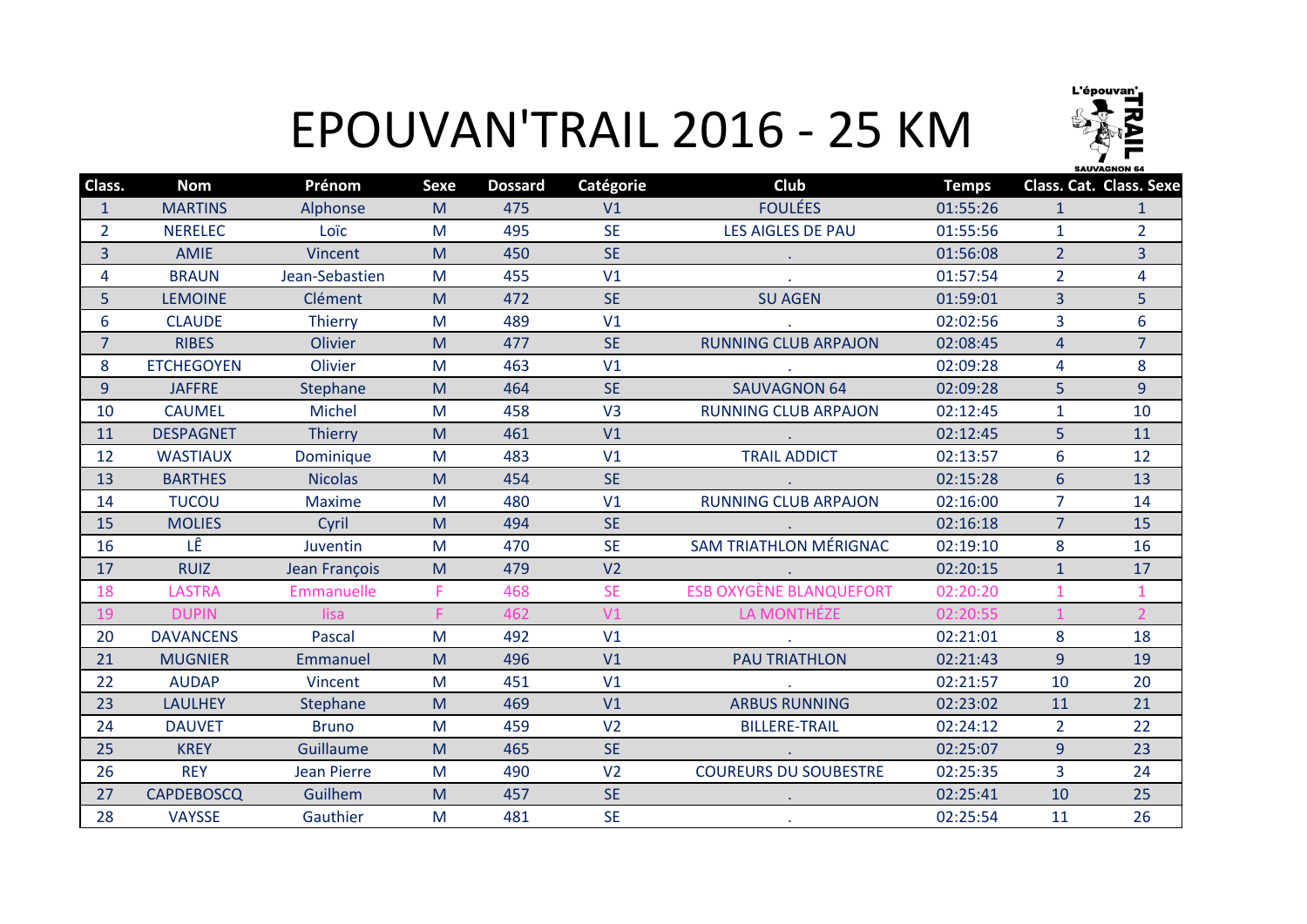

## EPOUVAN'TRAIL 2016 - 25 KM

| Class.         | <b>Nom</b>        | Prénom             | <b>Sexe</b> | <b>Dossard</b> | Catégorie      | Club                           | <b>Temps</b> |                | <b>Class. Cat. Class. Sexe</b> |
|----------------|-------------------|--------------------|-------------|----------------|----------------|--------------------------------|--------------|----------------|--------------------------------|
| $\mathbf{1}$   | <b>MARTINS</b>    | Alphonse           | M           | 475            | V1             | <b>FOULÉES</b>                 | 01:55:26     | $\mathbf{1}$   | 1                              |
| $\overline{2}$ | <b>NERELEC</b>    | Loïc               | M           | 495            | <b>SE</b>      | LES AIGLES DE PAU              | 01:55:56     | $\mathbf{1}$   | $\overline{2}$                 |
| 3              | <b>AMIE</b>       | Vincent            | M           | 450            | <b>SE</b>      |                                | 01:56:08     | $\overline{2}$ | $\overline{3}$                 |
| 4              | <b>BRAUN</b>      | Jean-Sebastien     | M           | 455            | V1             |                                | 01:57:54     | 2 <sup>1</sup> | 4                              |
| 5              | <b>LEMOINE</b>    | Clément            | M           | 472            | <b>SE</b>      | <b>SU AGEN</b>                 | 01:59:01     | $\overline{3}$ | 5                              |
| 6              | <b>CLAUDE</b>     | Thierry            | M           | 489            | V1             |                                | 02:02:56     | $\overline{3}$ | $6\overline{6}$                |
| $\overline{7}$ | <b>RIBES</b>      | Olivier            | M           | 477            | <b>SE</b>      | <b>RUNNING CLUB ARPAJON</b>    | 02:08:45     | $\overline{4}$ | $\overline{7}$                 |
| 8              | <b>ETCHEGOYEN</b> | Olivier            | M           | 463            | V1             |                                | 02:09:28     | 4              | 8                              |
| 9              | <b>JAFFRE</b>     | Stephane           | M           | 464            | <b>SE</b>      | <b>SAUVAGNON 64</b>            | 02:09:28     | 5              | $\overline{9}$                 |
| 10             | <b>CAUMEL</b>     | Michel             | M           | 458            | V <sub>3</sub> | <b>RUNNING CLUB ARPAJON</b>    | 02:12:45     | $\mathbf{1}$   | 10                             |
| 11             | <b>DESPAGNET</b>  | <b>Thierry</b>     | M           | 461            | V1             |                                | 02:12:45     | 5              | 11                             |
| 12             | <b>WASTIAUX</b>   | Dominique          | M           | 483            | V1             | <b>TRAIL ADDICT</b>            | 02:13:57     | 6              | 12                             |
| 13             | <b>BARTHES</b>    | <b>Nicolas</b>     | M           | 454            | <b>SE</b>      |                                | 02:15:28     | 6              | 13                             |
| 14             | <b>TUCOU</b>      | <b>Maxime</b>      | M           | 480            | V1             | <b>RUNNING CLUB ARPAJON</b>    | 02:16:00     | $\overline{7}$ | 14                             |
| 15             | <b>MOLIES</b>     | Cyril              | M           | 494            | <b>SE</b>      |                                | 02:16:18     | $\overline{7}$ | 15                             |
| 16             | LÊ                | Juventin           | M           | 470            | <b>SE</b>      | <b>SAM TRIATHLON MÉRIGNAC</b>  | 02:19:10     | 8              | 16                             |
| 17             | <b>RUIZ</b>       | Jean François      | M           | 479            | V <sub>2</sub> |                                | 02:20:15     | $\mathbf{1}$   | 17                             |
| 18             | <b>LASTRA</b>     | Emmanuelle         | F           | 468            | <b>SE</b>      | <b>ESB OXYGÈNE BLANQUEFORT</b> | 02:20:20     | $\mathbf{1}$   | $\mathbf{1}$                   |
| 19             | <b>DUPIN</b>      | lisa               | F.          | 462            | V1             | LA MONTHÉZE                    | 02:20:55     |                | $\overline{2}$                 |
| 20             | <b>DAVANCENS</b>  | Pascal             | M           | 492            | V1             |                                | 02:21:01     | 8              | 18                             |
| 21             | <b>MUGNIER</b>    | Emmanuel           | M           | 496            | V1             | <b>PAU TRIATHLON</b>           | 02:21:43     | 9              | 19                             |
| 22             | <b>AUDAP</b>      | Vincent            | M           | 451            | V1             |                                | 02:21:57     | 10             | 20                             |
| 23             | <b>LAULHEY</b>    | Stephane           | M           | 469            | V1             | <b>ARBUS RUNNING</b>           | 02:23:02     | 11             | 21                             |
| 24             | <b>DAUVET</b>     | <b>Bruno</b>       | M           | 459            | V <sub>2</sub> | <b>BILLERE-TRAIL</b>           | 02:24:12     | $\overline{2}$ | 22                             |
| 25             | <b>KREY</b>       | <b>Guillaume</b>   | M           | 465            | <b>SE</b>      |                                | 02:25:07     | 9              | 23                             |
| 26             | <b>REY</b>        | <b>Jean Pierre</b> | M           | 490            | V <sub>2</sub> | <b>COUREURS DU SOUBESTRE</b>   | 02:25:35     | $\overline{3}$ | 24                             |
| 27             | <b>CAPDEBOSCQ</b> | Guilhem            | M           | 457            | <b>SE</b>      |                                | 02:25:41     | 10             | 25                             |
| 28             | <b>VAYSSE</b>     | Gauthier           | M           | 481            | <b>SE</b>      |                                | 02:25:54     | 11             | 26                             |